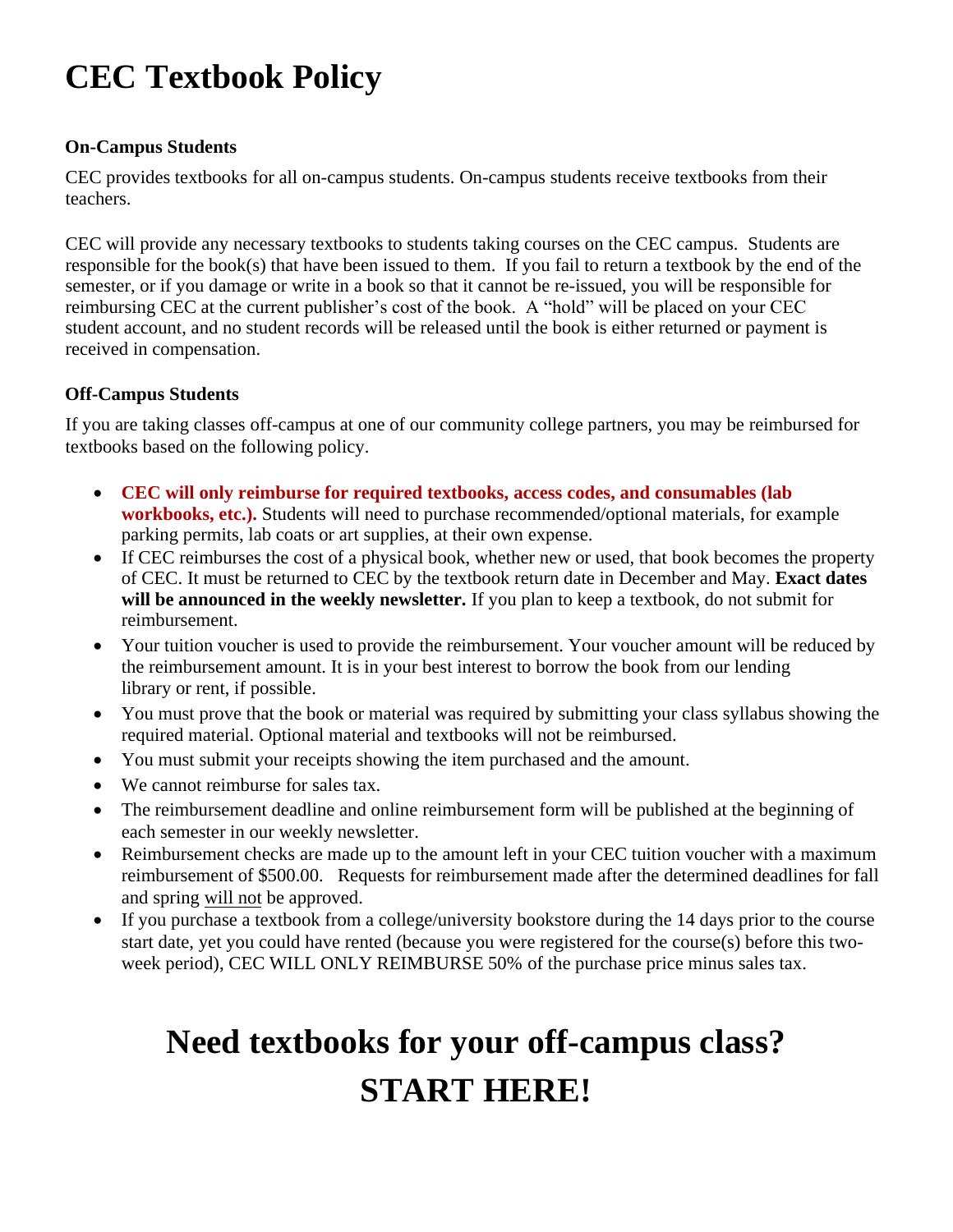## **CEC Textbook Policy**

## **On-Campus Students**

CEC provides textbooks for all on-campus students. On-campus students receive textbooks from their teachers.

CEC will provide any necessary textbooks to students taking courses on the CEC campus. Students are responsible for the book(s) that have been issued to them. If you fail to return a textbook by the end of the semester, or if you damage or write in a book so that it cannot be re-issued, you will be responsible for reimbursing CEC at the current publisher's cost of the book. A "hold" will be placed on your CEC student account, and no student records will be released until the book is either returned or payment is received in compensation.

## **Off-Campus Students**

If you are taking classes off-campus at one of our community college partners, you may be reimbursed for textbooks based on the following policy.

- **CEC will only reimburse for required textbooks, access codes, and consumables (lab workbooks, etc.).** Students will need to purchase recommended/optional materials, for example parking permits, lab coats or art supplies, at their own expense.
- If CEC reimburses the cost of a physical book, whether new or used, that book becomes the property of CEC. It must be returned to CEC by the textbook return date in December and May. **Exact dates will be announced in the weekly newsletter.** If you plan to keep a textbook, do not submit for reimbursement.
- Your tuition voucher is used to provide the reimbursement. Your voucher amount will be reduced by the reimbursement amount. It is in your best interest to borrow the book from our lending library or rent, if possible.
- You must prove that the book or material was required by submitting your class syllabus showing the required material. Optional material and textbooks will not be reimbursed.
- You must submit your receipts showing the item purchased and the amount.
- We cannot reimburse for sales tax.
- The reimbursement deadline and online reimbursement form will be published at the beginning of each semester in our weekly newsletter.
- Reimbursement checks are made up to the amount left in your CEC tuition voucher with a maximum reimbursement of \$500.00. Requests for reimbursement made after the determined deadlines for fall and spring will not be approved.
- If you purchase a textbook from a college/university bookstore during the 14 days prior to the course start date, yet you could have rented (because you were registered for the course(s) before this twoweek period), CEC WILL ONLY REIMBURSE 50% of the purchase price minus sales tax.

## **Need textbooks for your off-campus class? START HERE!**